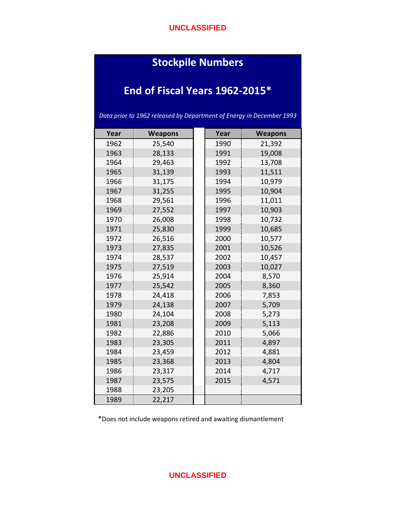#### **UNCLASSIFIED**

# **Stockpile Numbers**

# **End of Fiscal Years 1962-2015\***

*Data prior to 1962 released by Department of Energy in December 1993*

| Year | <b>Weapons</b> | Year | <b>Weapons</b> |
|------|----------------|------|----------------|
| 1962 | 25,540         | 1990 | 21,392         |
| 1963 | 28,133         | 1991 | 19,008         |
| 1964 | 29,463         | 1992 | 13,708         |
| 1965 | 31,139         | 1993 | 11,511         |
| 1966 | 31,175         | 1994 | 10,979         |
| 1967 | 31,255         | 1995 | 10,904         |
| 1968 | 29,561         | 1996 | 11,011         |
| 1969 | 27,552         | 1997 | 10,903         |
| 1970 | 26,008         | 1998 | 10,732         |
| 1971 | 25,830         | 1999 | 10,685         |
| 1972 | 26,516         | 2000 | 10,577         |
| 1973 | 27,835         | 2001 | 10,526         |
| 1974 | 28,537         | 2002 | 10,457         |
| 1975 | 27,519         | 2003 | 10,027         |
| 1976 | 25,914         | 2004 | 8,570          |
| 1977 | 25,542         | 2005 | 8,360          |
| 1978 | 24,418         | 2006 | 7,853          |
| 1979 | 24,138         | 2007 | 5,709          |
| 1980 | 24,104         | 2008 | 5,273          |
| 1981 | 23,208         | 2009 | 5,113          |
| 1982 | 22,886         | 2010 | 5,066          |
| 1983 | 23,305         | 2011 | 4,897          |
| 1984 | 23,459         | 2012 | 4,881          |
| 1985 | 23,368         | 2013 | 4,804          |
| 1986 | 23,317         | 2014 | 4,717          |
| 1987 | 23,575         | 2015 | 4,571          |
| 1988 | 23,205         |      |                |
| 1989 | 22,217         |      |                |

\*Does not include weapons retired and awaiting dismantlement

#### **UNCLASSIFIED**